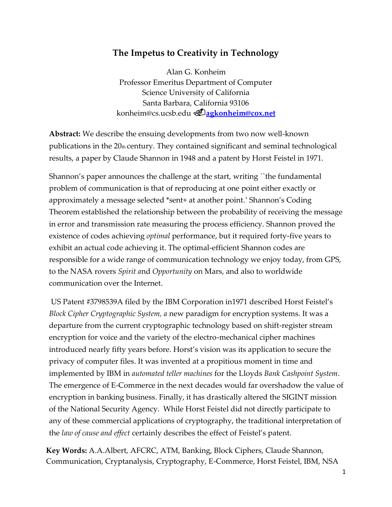## **The Impetus to Creativity in Technology**

Alan G. Konheim Professor Emeritus Department of Computer Science University of California Santa Barbara, California 9310[6](mailto:konheim@cs.ucsb.edu) [konheim@cs.ucsb.edu](mailto:konheim@cs.ucsb.edu)**[agkonheim@cox.net](mailto:agkonheim@cox.net)**

**Abstract:** We describe the ensuing developments from two now well-known publications in the  $20<sub>th</sub>$  century. They contained significant and seminal technological results, a paper by Claude Shannon in 1948 and a patent by Horst Feistel in 1971.

Shannon's paper announces the challenge at the start, writing ``the fundamental problem of communication is that of reproducing at one point either exactly or approximately a message selected \*sent+ at another point.' Shannon's Coding Theorem established the relationship between the probability of receiving the message in error and transmission rate measuring the process efficiency. Shannon proved the existence of codes achieving *optimal* performance, but it required forty-five years to exhibit an actual code achieving it. The optimal-efficient Shannon codes are responsible for a wide range of communication technology we enjoy today, from GPS, to the NASA rovers *Spirit a*nd *Opportunity* on Mars, and also to worldwide communication over the Internet.

US Patent #3798539A filed by the IBM Corporation in1971 described Horst Feistel's *Block Cipher Cryptographic System, a* new paradigm for encryption systems. It was a departure from the current cryptographic technology based on shift-register stream encryption for voice and the variety of the electro-mechanical cipher machines introduced nearly fifty years before. Horst's vision was its application to secure the privacy of computer files. It was invented at a propitious moment in time and implemented by IBM in *automated teller machines* for the Lloyds *Bank Cashpoint System*. The emergence of E-Commerce in the next decades would far overshadow the value of encryption in banking business. Finally, it has drastically altered the SIGINT mission of the National Security Agency. While Horst Feistel did not directly participate to any of these commercial applications of cryptography, the traditional interpretation of the *law of cause and effect* certainly describes the effect of Feistel's patent.

**Key Words:** A.A.Albert, AFCRC, ATM, Banking, Block Ciphers, Claude Shannon, Communication, Cryptanalysis, Cryptography, E-Commerce, Horst Feistel, IBM, NSA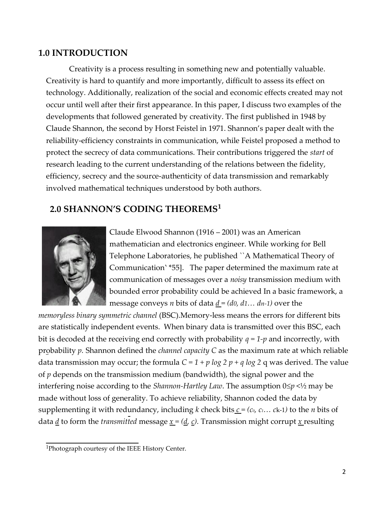### **1.0 INTRODUCTION**

Creativity is a process resulting in something new and potentially valuable. Creativity is hard to quantify and more importantly, difficult to assess its effect on technology. Additionally, realization of the social and economic effects created may not occur until well after their first appearance. In this paper, I discuss two examples of the developments that followed generated by creativity. The first published in 1948 by Claude Shannon, the second by Horst Feistel in 1971. Shannon's paper dealt with the reliability-efficiency constraints in communication, while Feistel proposed a method to protect the secrecy of data communications. Their contributions triggered the *start* of research leading to the current understanding of the relations between the fidelity, efficiency, secrecy and the source-authenticity of data transmission and remarkably involved mathematical techniques understood by both authors.

## **2.0 SHANNON'S CODING THEOREMS<sup>1</sup>**



Claude Elwood Shannon (1916 – 2001) was an American mathematician and electronics engineer. While working for Bell Telephone Laboratories, he published ``A Mathematical Theory of Communication' \*55]. The paper determined the maximum rate at communication of messages over a *noisy* transmission medium with bounded error probability could be achieved In a basic framework, a message conveys *n* bits of data  $\underline{d} = (d0, d1... d n-1)$  over the

*memoryless binary symmetric channel* (BSC).Memory-less means the errors for different bits are statistically independent events. When binary data is transmitted over this BSC, each bit is decoded at the receiving end correctly with probability *q = 1-p* and incorrectly, with probability *p.* Shannon defined the *channel capacity C* as the maximum rate at which reliable data transmission may occur; the formula  $C = 1 + p \log 2 p + q \log 2 q$  was derived. The value of *p* depends on the transmission medium (bandwidth), the signal power and the interfering noise according to the *Shannon-Hartley Law*. The assumption  $0 \le p \le 1/2$  may be made without loss of generality. To achieve reliability, Shannon coded the data by supplementing it with redundancy, including *k* check bits  $c = (c_0, c_1, \ldots c_{k-1})$  to the *n* bits of data  $\underline{d}$  to form the *transmitted* message <u> $x = (d, c)$ </u>. Transmission might corrupt <u>x</u> resulting

<sup>1</sup>Photograph courtesy of the IEEE History Center.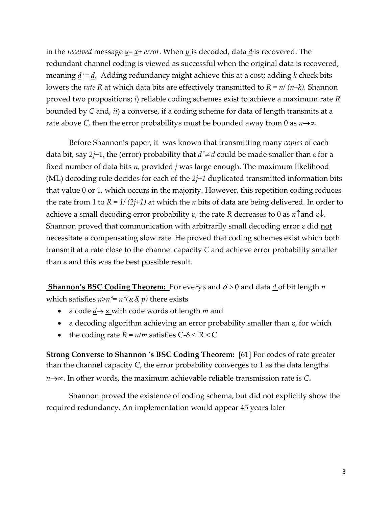in the *received* message *y= x*+ *error*. When *y* is decoded, data *d\**is recovered. The redundant channel coding is viewed as successful when the original data is recovered, meaning  $\underline{d}^* = \underline{d}$ . Adding redundancy might achieve this at a cost; adding *k* check bits lowers the *rate R* at which data bits are effectively transmitted to *R = n/ (n+k).* Shannon proved two propositions; *i*) reliable coding schemes exist to achieve a maximum rate *R*  bounded by *C* and, *ii*) a converse, if a coding scheme for data of length transmits at a rate above *C*, then the error probability must be bounded away from 0 as  $n \rightarrow \infty$ .

Before Shannon's paper, it was known that transmitting many *copies* of each data bit, say *2j*+1, the (error) probability that *d \*d* could be made smaller than for a fixed number of data bits *n,* provided *j* was large enough. The maximum likelihood (ML) decoding rule decides for each of the *2j+1* duplicated transmitted information bits that value 0 or 1, which occurs in the majority. However, this repetition coding reduces the rate from 1 to *R = 1/ (2j+1)* at which the *n* bits of data are being delivered. In order to achieve a small decoding error probability  $\varepsilon$ , the rate *R* decreases to 0 as *n*<sup> $\uparrow$ </sup> and  $\varepsilon\downarrow$ . Shannon proved that communication with arbitrarily small decoding error  $\varepsilon$  did not necessitate a compensating slow rate. He proved that coding schemes exist which both transmit at a rate close to the channel capacity *C* and achieve error probability smaller than  $\varepsilon$  and this was the best possible result.

**<u>Shannon's BSC Coding Theorem:**</u> For every  $\varepsilon$  and  $\delta > 0$  and data <u>d</u> of bit length *n* which satisfies  $n>n^* = n^*(\varepsilon, \delta, p)$  there exists

- a code  $\underline{d} \rightarrow \underline{x}$  with code words of length *m* and
- a decoding algorithm achieving an error probability smaller than  $\varepsilon$ , for which
- the coding rate  $R = n/m$  satisfies  $C \delta \leq R < C$

**Strong Converse to Shannon 's BSC Coding Theorem:** [61] For codes of rate greater than the channel capacity C, the error probability converges to 1 as the data lengths  $n \rightarrow \infty$ . In other words, the maximum achievable reliable transmission rate is *C*.

Shannon proved the existence of coding schema, but did not explicitly show the required redundancy. An implementation would appear 45 years later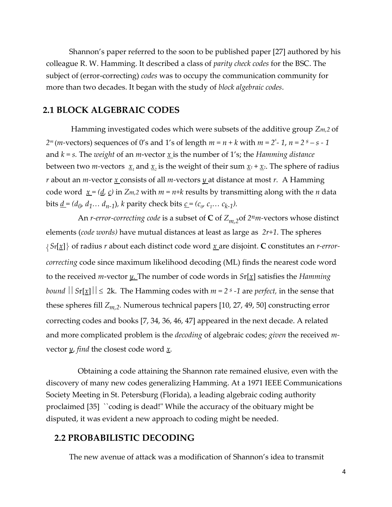Shannon's paper referred to the soon to be published paper [27] authored by his colleague R. W. Hamming. It described a class of *parity check codes* for the BSC. The subject of (error-correcting) *codes* was to occupy the communication community for more than two decades. It began with the study of *block algebraic codes*.

#### **2.1 BLOCK ALGEBRAIC CODES**

Hamming investigated codes which were subsets of the additive group *Zm,2* of *2<sup>m</sup>*(*m*-vectors) sequences of 0's and 1's of length  $m = n + k$  with  $m = 2<sup>s</sup> - 1$ ,  $n = 2<sup>s</sup> - s - 1$ and  $k = s$ . The *weight* of an *m*-vector <u>x</u> is the number of 1's; the *Hamming distance* between two *m*-vectors  $\underline{x}_1$  and  $\underline{x}_2$  is the weight of their sum  $\underline{x}_1 + \underline{x}_2$ . The sphere of radius *r* about an *m-*vector *x* consists of all *m-*vectors *y* at distance at most *r.* A Hamming code word  $\underline{x} = (\underline{d}, \underline{c})$  in  $\overline{Z}$ *m*,2 with  $m = n+k$  results by transmitting along with the *n* data bits <u>*d*</u> = (*d*<sub>0</sub>, *d*<sub>1</sub>... *d*<sub>*n*-1</sub>), *k* parity check bits <u>*c*</u> = ( $c$ <sub>0</sub>,  $c$ <sub>1</sub>... *c*<sub>*k*-1</sub>).

An *r-error-correcting code* is a subset of **C** of  $Z_{m,2}$ of 2<sup>*n*</sup>*m*-vectors whose distinct elements (*code words)* have mutual distances at least as large as *2r+1*. The spheres  $\langle\mathit{Sr}[\underline{x}]\rangle$  of radius  $r$  about each distinct code word  $\underline{x}$  are disjoint.  $\bf C$  constitutes an  $r\text{-}error\text{-}$ *correcting* code since maximum likelihood decoding (ML) finds the nearest code word to the received *m*-vector *y.* The number of code words in *S*r[*x*] satisfies the *Hamming bound*  $||Sr[\chi]|| \leq 2k$ . The Hamming codes with  $m = 2<sup>s</sup>$  -1 are *perfect*, in the sense that these spheres fill *Zm,2.* Numerous technical papers [10, 27, 49, 50] constructing error correcting codes and books [7, 34, 36, 46, 47] appeared in the next decade. A related and more complicated problem is the *decoding* of algebraic codes; *given* the received *m*vector *y*, *find* the closest code word *x.*

Obtaining a code attaining the Shannon rate remained elusive, even with the discovery of many new codes generalizing Hamming. At a 1971 IEEE Communications Society Meeting in St. Petersburg (Florida), a leading algebraic coding authority proclaimed [35] ``coding is dead!" While the accuracy of the obituary might be disputed, it was evident a new approach to coding might be needed.

### **2.2 PROBABILISTIC DECODING**

The new avenue of attack was a modification of Shannon's idea to transmit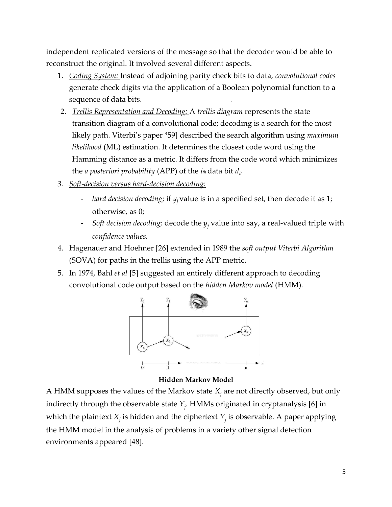independent replicated versions of the message so that the decoder would be able to reconstruct the original. It involved several different aspects.

- 1. *Coding System:* Instead of adjoining parity check bits to data, *convolutional codes*  generate check digits via the application of a Boolean polynomial function to a sequence of data bits.
- 2. *Trellis Representation and Decoding:* A *trellis diagram* represents the state transition diagram of a convolutional code; decoding is a search for the most likely path. Viterbi's paper \*59] described the search algorithm using *maximum likelihood* (ML) estimation. It determines the closest code word using the Hamming distance as a metric. It differs from the code word which minimizes the *a posteriori probability* (APP) of the *ith* data bit *d<sup>i</sup> ,*
- *3. Soft-decision versus hard-decision decoding:*
	- *hard decision decoding*; if *yj* value is in a specified set, then decode it as 1; otherwise, as 0;
	- *Soft decision decoding;* decode the *y<sup>j</sup>* value into say, a real-valued triple with *confidence values.*
- 4. Hagenauer and Hoehner [26] extended in 1989 the *soft output Viterbi Algorithm* (SOVA) for paths in the trellis using the APP metric.
- 5. In 1974, Bahl *et al* [5] suggested an entirely different approach to decoding convolutional code output based on the *hidden Markov model* (HMM).



**Hidden Markov Model**

A HMM supposes the values of the Markov state *X<sup>j</sup>* are not directly observed, but only indirectly through the observable state *Y<sup>j</sup>* . HMMs originated in cryptanalysis [6] in which the plaintext  $X_j$  is hidden and the ciphertext  $Y_j$  is observable. A paper applying the HMM model in the analysis of problems in a variety other signal detection environments appeared [48].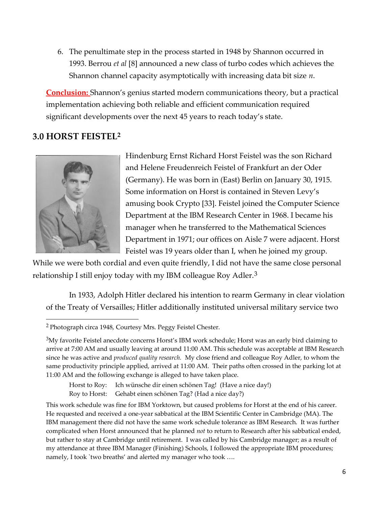6. The penultimate step in the process started in 1948 by Shannon occurred in 1993. Berrou *et al* [8] announced a new class of turbo codes which achieves the Shannon channel capacity asymptotically with increasing data bit size *n*.

**Conclusion:** Shannon's genius started modern communications theory, but a practical implementation achieving both reliable and efficient communication required significant developments over the next 45 years to reach today's state.

## **3.0 HORST FEISTEL<sup>2</sup>**



Hindenburg Ernst Richard Horst Feistel was the son Richard and Helene Freudenreich Feistel of Frankfurt an der Oder (Germany). He was born in (East) Berlin on January 30, 1915. Some information on Horst is contained in Steven Levy's amusing book Crypto [33]. Feistel joined the Computer Science Department at the IBM Research Center in 1968. I became his manager when he transferred to the Mathematical Sciences Department in 1971; our offices on Aisle 7 were adjacent. Horst Feistel was 19 years older than I, when he joined my group.

While we were both cordial and even quite friendly, I did not have the same close personal relationship I still enjoy today with my IBM colleague Roy Adler.<sup>3</sup>

In 1933, Adolph Hitler declared his intention to rearm Germany in clear violation of the Treaty of Versailles; Hitler additionally instituted universal military service two

Horst to Roy: Ich wünsche dir einen schönen Tag! (Have a nice day!) Roy to Horst: Gehabt einen schönen Tag? (Had a nice day?)

This work schedule was fine for IBM Yorktown, but caused problems for Horst at the end of his career. He requested and received a one-year sabbatical at the IBM Scientific Center in Cambridge (MA). The IBM management there did not have the same work schedule tolerance as IBM Research. It was further complicated when Horst announced that he planned *not* to return to Research after his sabbatical ended, but rather to stay at Cambridge until retirement. I was called by his Cambridge manager; as a result of my attendance at three IBM Manager (Finishing) Schools, I followed the appropriate IBM procedures; namely, I took `two breaths' and alerted my manager who took ....

<sup>2</sup>Photograph circa 1948, Courtesy Mrs. Peggy Feistel Chester.

<sup>&</sup>lt;sup>3</sup>My favorite Feistel anecdote concerns Horst's IBM work schedule; Horst was an early bird claiming to arrive at 7:00 AM and usually leaving at around 11:00 AM. This schedule was acceptable at IBM Research since he was active and *produced quality research.* My close friend and colleague Roy Adler, to whom the same productivity principle applied, arrived at 11:00 AM. Their paths often crossed in the parking lot at 11:00 AM and the following exchange is alleged to have taken place.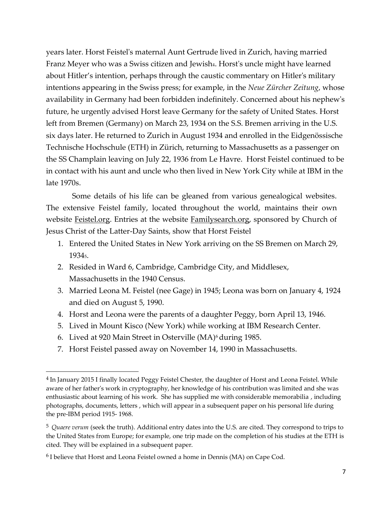years later. Horst Feistel's maternal Aunt Gertrude lived in Zurich, having married Franz Meyer who was a Swiss citizen and Jewish<sub>4</sub>. Horst's uncle might have learned about Hitler's intention, perhaps through the caustic commentary on Hitler's military intentions appearing in the Swiss press; for example, in the *Neue Zürcher Zeitung*, whose availability in Germany had been forbidden indefinitely. Concerned about his nephew's future, he urgently advised Horst leave Germany for the safety of United States. Horst left from Bremen (Germany) on March 23, 1934 on the S.S. Bremen arriving in the U.S. six days later. He returned to Zurich in August 1934 and enrolled in the Eidgenössische Technische Hochschule (ETH) in Zürich, returning to Massachusetts as a passenger on the SS Champlain leaving on July 22, 1936 from Le Havre. Horst Feistel continued to be in contact with his aunt and uncle who then lived in New York City while at IBM in the late 1970s.

Some details of his life can be gleaned from various genealogical websites. The extensive Feistel family, located throughout the world, maintains their own website Feistel.org. Entries at the website Familysearch.org, sponsored by Church of Jesus Christ of the Latter-Day Saints, show that Horst Feistel

- 1. Entered the United States in New York arriving on the SS Bremen on March 29, 1934<sub>5</sub>.
- 2. Resided in Ward 6, Cambridge, Cambridge City, and Middlesex, Massachusetts in the 1940 Census.
- 3. Married Leona M. Feistel (nee Gage) in 1945; Leona was born on January 4, 1924 and died on August 5, 1990.
- 4. Horst and Leona were the parents of a daughter Peggy, born April 13, 1946.
- 5. Lived in Mount Kisco (New York) while working at IBM Research Center.
- 6. Lived at 920 Main Street in Osterville (MA)<sup>6</sup> during 1985.
- 7. Horst Feistel passed away on November 14, 1990 in Massachusetts.

<sup>&</sup>lt;sup>4</sup> In January 2015 I finally located Peggy Feistel Chester, the daughter of Horst and Leona Feistel. While aware of her father's work in cryptography, her knowledge of his contribution was limited and she was enthusiastic about learning of his work. She has supplied me with considerable memorabilia , including photographs, documents, letters , which will appear in a subsequent paper on his personal life during the pre-IBM period 1915- 1968.

<sup>5</sup> *Quaere verum* (seek the truth). Additional entry dates into the U.S. are cited. They correspond to trips to the United States from Europe; for example, one trip made on the completion of his studies at the ETH is cited. They will be explained in a subsequent paper.

<sup>6</sup>I believe that Horst and Leona Feistel owned a home in Dennis (MA) on Cape Cod.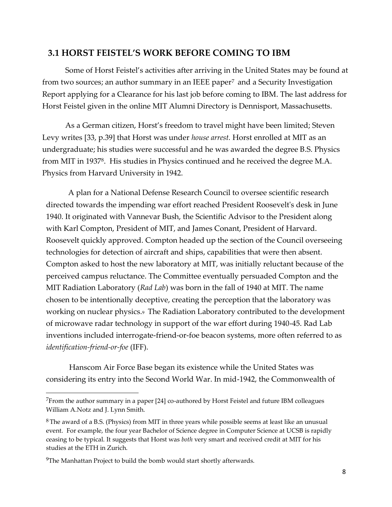### **3.1 HORST FEISTEL'S WORK BEFORE COMING TO IBM**

Some of Horst Feistel's activities after arriving in the United States may be found at from two sources; an author summary in an IEEE paper<sup>7</sup> and a Security Investigation Report applying for a Clearance for his last job before coming to IBM. The last address for Horst Feistel given in the online MIT Alumni Directory is Dennisport, Massachusetts.

As a German citizen, Horst's freedom to travel might have been limited; Steven Levy writes [33, p.39] that Horst was under *house arrest.* Horst enrolled at MIT as an undergraduate; his studies were successful and he was awarded the degree B.S. Physics from MIT in 1937<sup>8</sup>. His studies in Physics continued and he received the degree M.A. Physics from Harvard University in 1942.

A plan for a National Defense Research Council to oversee scientific research directed towards the impending war effort reached President Roosevelt's desk in June 1940. It originated with Vannevar Bush, the Scientific Advisor to the President along with Karl Compton, President of MIT, and James Conant, President of Harvard. Roosevelt quickly approved. Compton headed up the section of the Council overseeing technologies for detection of aircraft and ships, capabilities that were then absent. Compton asked to host the new laboratory at MIT, was initially reluctant because of the perceived campus reluctance. The Committee eventually persuaded Compton and the MIT Radiation Laboratory (*Rad Lab*) was born in the fall of 1940 at MIT. The name chosen to be intentionally deceptive, creating the perception that the laboratory was working on nuclear physics.9 The Radiation Laboratory contributed to the development of microwave radar technology in support of the war effort during 1940-45. Rad Lab inventions included interrogate-friend-or-foe beacon systems, more often referred to as *identification-friend-or-foe* (IFF).

Hanscom Air Force Base began its existence while the United States was considering its entry into the Second World War. In mid-1942, the Commonwealth of

<sup>7</sup>From the author summary in a paper [24] co-authored by Horst Feistel and future IBM colleagues William A.Notz and J. Lynn Smith.

<sup>8</sup> The award of a B.S. (Physics) from MIT in three years while possible seems at least like an unusual event. For example, the four year Bachelor of Science degree in Computer Science at UCSB is rapidly ceasing to be typical. It suggests that Horst was *both* very smart and received credit at MIT for his studies at the ETH in Zurich.

<sup>&</sup>lt;sup>9</sup>The Manhattan Project to build the bomb would start shortly afterwards.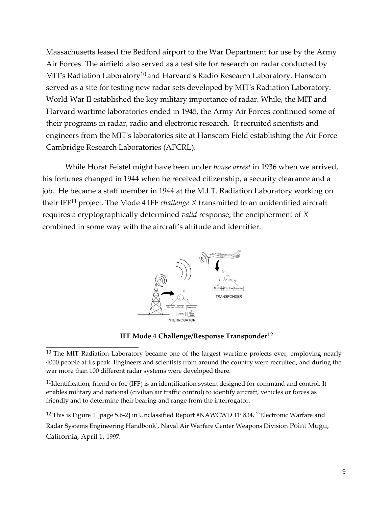Massachusetts leased the Bedford airport to the War Department for use by the Army Air Forces. The airfield also served as a test site for research on radar conducted by MIT's Radiation Laboratory<sup>10</sup> and Harvard's Radio Research Laboratory. Hanscom served as a site for testing new radar sets developed by MIT's Radiation Laboratory. World War II established the key military importance of radar. While, the MIT and Harvard wartime laboratories ended in 1945, the Army Air Forces continued some of their programs in radar, radio and electronic research. It recruited scientists and engineers from the MIT's laboratories site at Hanscom Field establishing the Air Force Cambridge Research Laboratories (AFCRL).

While Horst Feistel might have been under *house arrest* in 1936 when we arrived, his fortunes changed in 1944 when he received citizenship, a security clearance and a job. He became a staff member in 1944 at the M.I.T. Radiation Laboratory working on their IFF11 project. The Mode 4 IFF *challenge X* transmitted to an unidentified aircraft requires a cryptographically determined *valid* response, the encipherment of *X*  combined in some way with the aircraft's altitude and identifier.



#### **IFF Mode 4 Challenge/Response Transponder12**

 $11$ Identification, friend or foe (IFF) is an identification system designed for command and control. It enables military and national (civilian air traffic control) to identify aircraft, vehicles or forces as friendly and to determine their bearing and range from the interrogator.

<sup>12</sup> This is Figure 1 [page 5.6-2] in Unclassified Report #NAWCWD TP 834, "Electronic Warfare and Radar Systems Engineering Handbook', Naval Air Warfare Center Weapons Division Point Mugu, California, April 1, 1997.

 $10$  The MIT Radiation Laboratory became one of the largest wartime projects ever, employing nearly 4000 people at its peak. Engineers and scientists from around the country were recruited, and during the war more than 100 different radar systems were developed there.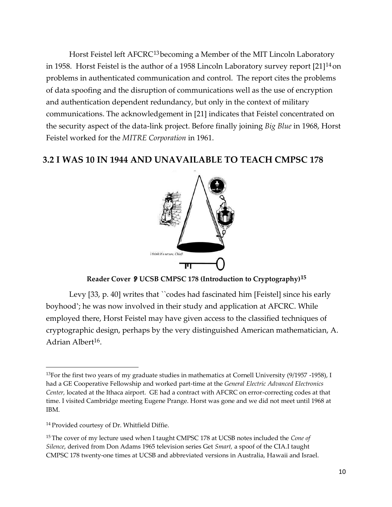Horst Feistel left AFCRC13becoming a Member of the MIT Lincoln Laboratory in 1958. Horst Feistel is the author of a 1958 Lincoln Laboratory survey report [21]14 on problems in authenticated communication and control. The report cites the problems of data spoofing and the disruption of communications well as the use of encryption and authentication dependent redundancy, but only in the context of military communications. The acknowledgement in [21] indicates that Feistel concentrated on the security aspect of the data-link project. Before finally joining *Big Blue* in 1968, Horst Feistel worked for the *MITRE Corporation* in 1961.

### **3.2 I WAS 10 IN 1944 AND UNAVAILABLE TO TEACH CMPSC 178**



**Reader Cover UCSB CMPSC 178 (Introduction to Cryptography)15**

Levy [33, p. 40] writes that ``codes had fascinated him [Feistel] since his early boyhood'; he was now involved in their study and application at AFCRC. While employed there, Horst Feistel may have given access to the classified techniques of cryptographic design, perhaps by the very distinguished American mathematician, A. Adrian Albert<sup>16</sup>.

<sup>&</sup>lt;sup>13</sup>For the first two years of my graduate studies in mathematics at Cornell University  $(9/1957 - 1958)$ , I had a GE Cooperative Fellowship and worked part-time at the *General Electric Advanced Electronics Center,* located at the Ithaca airport. GE had a contract with AFCRC on error-correcting codes at that time. I visited Cambridge meeting Eugene Prange. Horst was gone and we did not meet until 1968 at IBM.

<sup>&</sup>lt;sup>14</sup> Provided courtesy of Dr. Whitfield Diffie.

<sup>15</sup>The cover of my lecture used when I taught CMPSC 178 at UCSB notes included the *Cone of Silence*, derived from Don Adams 1965 television series Get *Smart,* a spoof of the CIA.I taught CMPSC 178 twenty-one times at UCSB and abbreviated versions in Australia, Hawaii and Israel.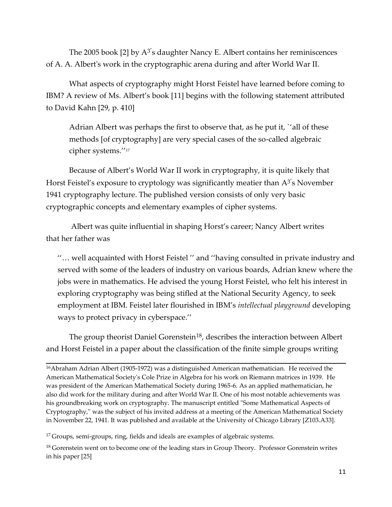The 2005 book [2] by  $A^{3'}s$  daughter Nancy E. Albert contains her reminiscences of A. A. Albert's work in the cryptographic arena during and after World War II.

What aspects of cryptography might Horst Feistel have learned before coming to IBM? A review of Ms. Albert's book [11] begins with the following statement attributed to David Kahn [29, p. 410]

Adrian Albert was perhaps the first to observe that, as he put it, `'all of these methods [of cryptography] are very special cases of the so-called algebraic cipher systems.''<sup>17</sup>

Because of Albert's World War II work in cryptography, it is quite likely that Horst Feistel's exposure to cryptology was significantly meatier than  $A^{3'}s$  November 1941 cryptography lecture. The published version consists of only very basic cryptographic concepts and elementary examples of cipher systems.

Albert was quite influential in shaping Horst's career; Nancy Albert writes that her father was

''… well acquainted with Horst Feistel '' and ''having consulted in private industry and served with some of the leaders of industry on various boards, Adrian knew where the jobs were in mathematics. He advised the young Horst Feistel, who felt his interest in exploring cryptography was being stifled at the National Security Agency, to seek employment at IBM. Feistel later flourished in IBM's *intellectual playground* developing ways to protect privacy in cyberspace.''

The group theorist Daniel Gorenstein<sup>18</sup>, describes the interaction between Albert and Horst Feistel in a paper about the classification of the finite simple groups writing

<sup>16</sup>Abraham Adrian Albert (1905-1972) was a distinguished American mathematician. He received the American Mathematical Society's Cole Prize in Algebra for his work on Riemann matrices in 1939. He was president of the American Mathematical Society during 1965-6. As an applied mathematician, he also did work for the military during and after World War II. One of his most notable achievements was his groundbreaking work on cryptography. The manuscript entitled "Some Mathematical Aspects of Cryptography," was the subject of his invited address at a meeting of the American Mathematical Society in November 22, 1941. It was published and available at the University of Chicago Library [Z103.A33].

<sup>17</sup> Groups, semi-groups, ring, fields and ideals are examples of algebraic systems.

<sup>18</sup> Gorenstein went on to become one of the leading stars in Group Theory. Professor Gorenstein writes in his paper [25]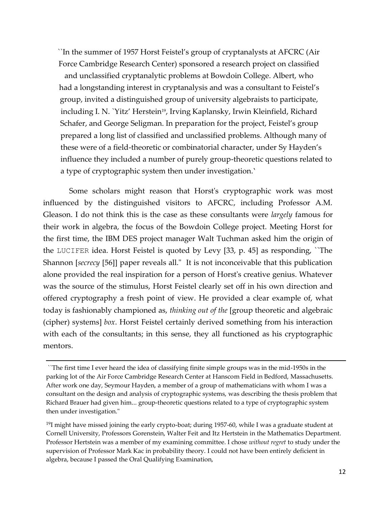``In the summer of 1957 Horst Feistel's group of cryptanalysts at AFCRC (Air Force Cambridge Research Center) sponsored a research project on classified and unclassified cryptanalytic problems at Bowdoin College. Albert, who had a longstanding interest in cryptanalysis and was a consultant to Feistel's group, invited a distinguished group of university algebraists to participate, including I. N. `Yitz' Herstein<sup>19</sup>, Irving Kaplansky, Irwin Kleinfield, Richard Schafer, and George Seligman. In preparation for the project, Feistel's group prepared a long list of classified and unclassified problems. Although many of these were of a field-theoretic or combinatorial character, under Sy Hayden's influence they included a number of purely group-theoretic questions related to a type of cryptographic system then under investigation.'

Some scholars might reason that Horst's cryptographic work was most influenced by the distinguished visitors to AFCRC, including Professor A.M. Gleason. I do not think this is the case as these consultants were *largely* famous for their work in algebra, the focus of the Bowdoin College project. Meeting Horst for the first time, the IBM DES project manager Walt Tuchman asked him the origin of the LUCIFER idea. Horst Feistel is quoted by Levy [33, p. 45] as responding, ``The Shannon [*secrecy* [56]] paper reveals all." It is not inconceivable that this publication alone provided the real inspiration for a person of Horst's creative genius. Whatever was the source of the stimulus, Horst Feistel clearly set off in his own direction and offered cryptography a fresh point of view. He provided a clear example of, what today is fashionably championed as, *thinking out of the* [group theoretic and algebraic (cipher) systems] *box*. Horst Feistel certainly derived something from his interaction with each of the consultants; in this sense, they all functioned as his cryptographic mentors.

<sup>``</sup>The first time I ever heard the idea of classifying finite simple groups was in the mid-1950s in the parking lot of the Air Force Cambridge Research Center at Hanscom Field in Bedford, Massachusetts. After work one day, Seymour Hayden, a member of a group of mathematicians with whom I was a consultant on the design and analysis of cryptographic systems, was describing the thesis problem that Richard Brauer had given him... group-theoretic questions related to a type of cryptographic system then under investigation."

 $19$ I might have missed joining the early crypto-boat; during 1957-60, while I was a graduate student at Cornell University, Professors Gorenstein, Walter Feit and Itz Hertstein in the Mathematics Department. Professor Hertstein was a member of my examining committee. I chose *without regret* to study under the supervision of Professor Mark Kac in probability theory. I could not have been entirely deficient in algebra, because I passed the Oral Qualifying Examination,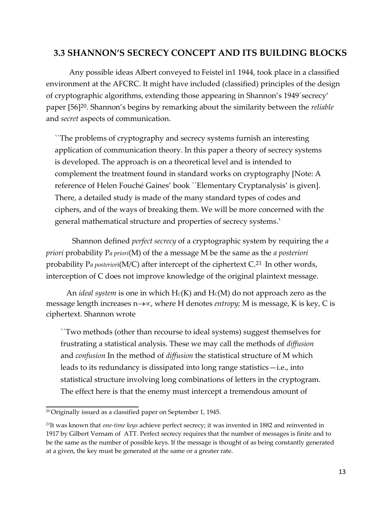#### **3.3 SHANNON'S SECRECY CONCEPT AND ITS BUILDING BLOCKS**

Any possible ideas Albert conveyed to Feistel in1 1944, took place in a classified environment at the AFCRC. It might have included (classified) principles of the design of cryptographic algorithms, extending those appearing in Shannon's 1949`secrecy' paper [56]20. Shannon's begins by remarking about the similarity between the *reliable* and *secret* aspects of communication.

``The problems of cryptography and secrecy systems furnish an interesting application of communication theory. In this paper a theory of secrecy systems is developed. The approach is on a theoretical level and is intended to complement the treatment found in standard works on cryptography [Note: A reference of Helen Fouché Gaines' book ``Elementary Cryptanalysis' is given]. There, a detailed study is made of the many standard types of codes and ciphers, and of the ways of breaking them. We will be more concerned with the general mathematical structure and properties of secrecy systems.'

Shannon defined *perfect secrecy* of a cryptographic system by requiring the *a priori* probability P*a priori*(M) of the a message M be the same as the *a posteriori*  probability P*a posterior*i(M/C) after intercept of the ciphertext C.21 In other words, interception of C does not improve knowledge of the original plaintext message.

An *ideal system* is one in which  $H_C(K)$  and  $H_C(M)$  do not approach zero as the message length increases  $n \rightarrow \infty$ , where H denotes *entropy*; M is message, K is key, C is ciphertext. Shannon wrote

``Two methods (other than recourse to ideal systems) suggest themselves for frustrating a statistical analysis. These we may call the methods of *diffusion*  and *confusion* In the method of *diffusion* the statistical structure of M which leads to its redundancy is dissipated into long range statistics—i.e., into statistical structure involving long combinations of letters in the cryptogram. The effect here is that the enemy must intercept a tremendous amount of

<sup>20</sup>Originally issued as a classified paper on September 1, 1945.

<sup>21</sup>It was known that *one-time keys* achieve perfect secrecy; it was invented in 1882 and reinvented in 1917 by Gilbert Vernam of ATT. Perfect secrecy requires that the number of messages is finite and to be the same as the number of possible keys. If the message is thought of as being constantly generated at a given, the key must be generated at the same or a greater rate.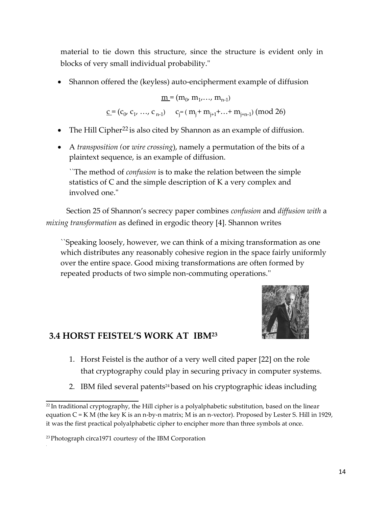material to tie down this structure, since the structure is evident only in blocks of very small individual probability."

Shannon offered the (keyless) auto-encipherment example of diffusion

 $\underline{\mathbf{m}}$  = ( $\mathbf{m}_0$ ,  $\mathbf{m}_1$ ,...,  $\mathbf{m}_{n-1}$ )  $\underline{c} = (c_0, c_1, ..., c_{n-1}) \quad c_j = (m_j + m_{j+1} + ... + m_{j+n-1}) \pmod{26}$ 

- $\bullet$  The Hill Cipher<sup>22</sup> is also cited by Shannon as an example of diffusion.
- A *transposition (*or *wire crossing*), namely a permutation of the bits of a plaintext sequence, is an example of diffusion.

``The method of *confusion* is to make the relation between the simple statistics of C and the simple description of K a very complex and involved one."

Section 25 of Shannon's secrecy paper combines *confusion* and *diffusion with* a *mixing transformation* as defined in ergodic theory [4]. Shannon writes

``Speaking loosely, however, we can think of a mixing transformation as one which distributes any reasonably cohesive region in the space fairly uniformly over the entire space. Good mixing transformations are often formed by repeated products of two simple non-commuting operations.''



### **3.4 HORST FEISTEL'S WORK AT IBM<sup>23</sup>**

- 1. Horst Feistel is the author of a very well cited paper [22] on the role that cryptography could play in securing privacy in computer systems.
- 2. IBM filed several patents<sup>24</sup> based on his cryptographic ideas including

.

 $22$ In traditional cryptography, the Hill cipher is a polyalphabetic substitution, based on the linear equation  $C = K M$  (the key K is an n-by-n matrix; M is an n-vector). Proposed by Lester S. Hill in 1929, it was the first practical polyalphabetic cipher to encipher more than three symbols at once.

<sup>23</sup>Photograph circa1971 courtesy of the IBM Corporation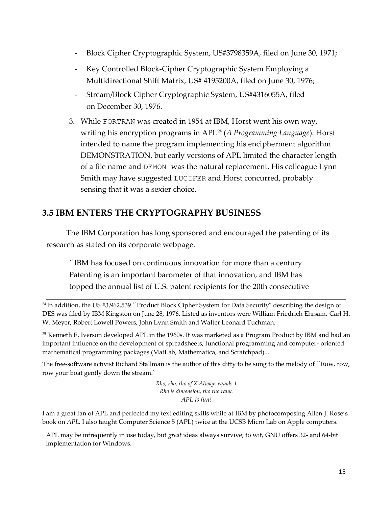- Block Cipher Cryptographic System, US#3798359A, filed on June 30, 1971;
- Key Controlled Block-Cipher Cryptographic System Employing a Multidirectional Shift Matrix, US# 4195200A, filed on June 30, 1976;
- Stream/Block Cipher Cryptographic System, US#4316055A, filed on December 30, 1976.
- 3. While FORTRAN was created in 1954 at IBM, Horst went his own way, writing his encryption programs in APL<sup>25</sup> (*A Programming Language*). Horst intended to name the program implementing his encipherment algorithm DEMONSTRATION, but early versions of APL limited the character length of a file name and DEMON was the natural replacement. His colleague Lynn Smith may have suggested LUCIFER and Horst concurred, probably sensing that it was a sexier choice.

### **3.5 IBM ENTERS THE CRYPTOGRAPHY BUSINESS**

The IBM Corporation has long sponsored and encouraged the patenting of its research as stated on its corporate webpage.

``IBM has focused on continuous innovation for more than a century. Patenting is an important barometer of that innovation, and IBM has topped the annual list of U.S. patent recipients for the 20th consecutive

<sup>24</sup> In addition, the US #3,962,539 ``Product Block Cipher System for Data Security" describing the design of DES was filed by IBM Kingston on June 28, 1976. Listed as inventors were William Friedrich Ehrsam, Carl H. W. Meyer, Robert Lowell Powers, John Lynn Smith and Walter Leonard Tuchman.

<sup>25</sup> Kenneth E. Iverson developed APL in the 1960s. It was marketed as a Program Product by IBM and had an important influence on the development of spreadsheets, functional programming and computer- oriented mathematical programming packages (MatLab, Mathematica, and Scratchpad)...

The free-software activist Richard Stallman is the author of this ditty, to be sung to the melody of ``Row, row, row your boat gently down the stream.'

> *Rho, rho, rho of X Always equals 1 Rho is dimension, rho rho rank. APL is fun!*

I am a great fan of APL and perfected my text editing skills while at IBM by photocomposing Allen J. Rose's book on *APL*. I also taught Computer Science 5 (APL) twice at the UCSB Micro Lab on Apple computers.

APL may be infrequently in use today, but *great* ideas always survive; to wit, GNU offers 32- and 64-bit implementation for Windows.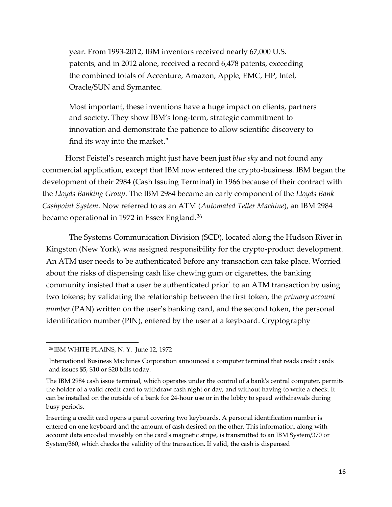year. From 1993-2012, IBM inventors received nearly 67,000 U.S. patents, and in 2012 alone, received a record 6,478 patents, exceeding the combined totals of Accenture, Amazon, Apple, EMC, HP, Intel, Oracle/SUN and Symantec.

Most important, these inventions have a huge impact on clients, partners and society. They show IBM's long-term, strategic commitment to innovation and demonstrate the patience to allow scientific discovery to find its way into the market."

Horst Feistel's research might just have been just *blue sky* and not found any commercial application, except that IBM now entered the crypto-business. IBM began the development of their 2984 (Cash Issuing Terminal) in 1966 because of their contract with the *Lloyds Banking Group*. The IBM 2984 became an early component of the *Lloyds Bank Cashpoint System*. Now referred to as an ATM (*Automated Teller Machine*), an IBM 2984 became operational in 1972 in Essex England.26

The Systems Communication Division (SCD), located along the Hudson River in Kingston (New York), was assigned responsibility for the crypto-product development. An ATM user needs to be authenticated before any transaction can take place. Worried about the risks of dispensing cash like chewing gum or cigarettes, the banking community insisted that a user be authenticated prior` to an ATM transaction by using two tokens; by validating the relationship between the first token, the *primary account number* (PAN) written on the user's banking card, and the second token, the personal identification number (PIN), entered by the user at a keyboard. Cryptography

<sup>26</sup> IBM WHITE PLAINS, N. Y. June 12, 1972

International Business Machines Corporation announced a computer terminal that reads credit cards and issues \$5, \$10 or \$20 bills today.

The IBM 2984 cash issue terminal, which operates under the control of a bank's central computer, permits the holder of a valid credit card to withdraw cash night or day, and without having to write a check. It can be installed on the outside of a bank for 24-hour use or in the lobby to speed withdrawals during busy periods.

Inserting a credit card opens a panel covering two keyboards. A personal identification number is entered on one keyboard and the amount of cash desired on the other. This information, along with account data encoded invisibly on the card's magnetic stripe, is transmitted to an IBM System/370 or System/360, which checks the validity of the transaction. If valid, the cash is dispensed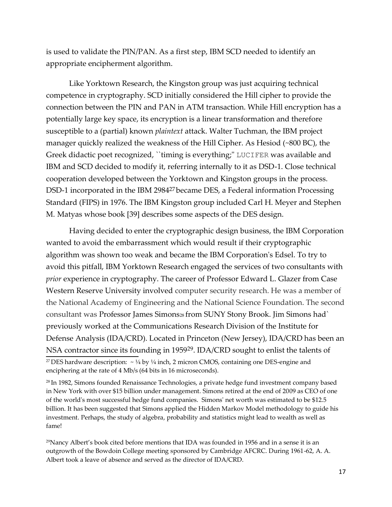is used to validate the PIN/PAN. As a first step, IBM SCD needed to identify an appropriate encipherment algorithm.

Like Yorktown Research, the Kingston group was just acquiring technical competence in cryptography. SCD initially considered the Hill cipher to provide the connection between the PIN and PAN in ATM transaction. While Hill encryption has a potentially large key space, its encryption is a linear transformation and therefore susceptible to a (partial) known *plaintext* attack. Walter Tuchman, the IBM project manager quickly realized the weakness of the Hill Cipher. As Hesiod (~800 BC), the Greek didactic poet recognized, ``timing is everything;" LUCIFER was available and IBM and SCD decided to modify it, referring internally to it as DSD-1. Close technical cooperation developed between the Yorktown and Kingston groups in the process. DSD-1 incorporated in the IBM 2984<sup>27</sup> became DES, a Federal information Processing Standard (FIPS) in 1976. The IBM Kingston group included Carl H. Meyer and Stephen M. Matyas whose book [39] describes some aspects of the DES design.

Having decided to enter the cryptographic design business, the IBM Corporation wanted to avoid the embarrassment which would result if their cryptographic algorithm was shown too weak and became the IBM Corporation's Edsel. To try to avoid this pitfall, IBM Yorktown Research engaged the services of two consultants with *prior* experience in cryptography. The career of Professor Edward L. Glazer from Case Western Reserve University involved computer security research. He was a member of the National Academy of Engineering and the National Science Foundation. The second consultant was Professor James Simons28 from SUNY Stony Brook. Jim Simons had` previously worked at the Communications Research Division of the Institute for Defense Analysis (IDA/CRD). Located in Princeton (New Jersey), IDA/CRD has been an NSA contractor since its founding in 195929. IDA/CRD sought to enlist the talents of <sup>27</sup> DES hardware description:  $\sim \frac{1}{4}$  by  $\frac{1}{4}$  inch, 2 micron CMOS, containing one DES-engine and enciphering at the rate of 4 Mb/s (64 bits in 16 microseconds).

<sup>28</sup> In 1982, Simons founded Renaissance Technologies, a private hedge fund investment company based in New York with over \$15 billion under management. Simons retired at the end of 2009 as CEO of one of the world's most successful hedge fund companies. Simons' net worth was estimated to be \$12.5 billion. It has been suggested that Simons applied the Hidden Markov Model methodology to guide his investment. Perhaps, the study of algebra, probability and statistics might lead to wealth as well as fame!

<sup>29</sup>Nancy Albert's book cited before mentions that IDA was founded in 1956 and in a sense it is an outgrowth of the Bowdoin College meeting sponsored by Cambridge AFCRC. During 1961-62, A. A. Albert took a leave of absence and served as the director of IDA/CRD.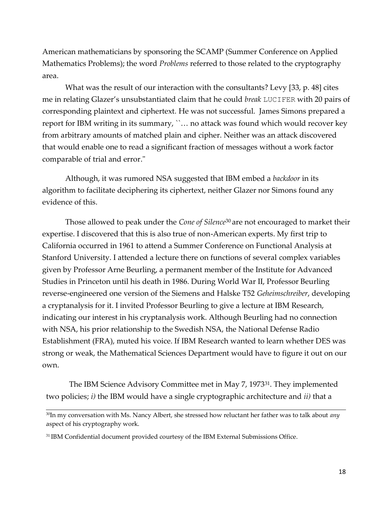American mathematicians by sponsoring the SCAMP (Summer Conference on Applied Mathematics Problems); the word *Problems* referred to those related to the cryptography area.

What was the result of our interaction with the consultants? Levy [33, p. 48] cites me in relating Glazer's unsubstantiated claim that he could *break* LUCIFER with 20 pairs of corresponding plaintext and ciphertext*.* He was not successful. James Simons prepared a report for IBM writing in its summary, ``… no attack was found which would recover key from arbitrary amounts of matched plain and cipher. Neither was an attack discovered that would enable one to read a significant fraction of messages without a work factor comparable of trial and error."

Although, it was rumored NSA suggested that IBM embed a *backdoor* in its algorithm to facilitate deciphering its ciphertext, neither Glazer nor Simons found any evidence of this.

Those allowed to peak under the *Cone of Silence*<sup>30</sup> are not encouraged to market their expertise. I discovered that this is also true of non-American experts. My first trip to California occurred in 1961 to attend a Summer Conference on Functional Analysis at Stanford University. I attended a lecture there on functions of several complex variables given by Professor Arne Beurling, a permanent member of the Institute for Advanced Studies in Princeton until his death in 1986. During World War II, Professor Beurling reverse-engineered one version of the Siemens and Halske T52 *Geheimschreiber*, developing a cryptanalysis for it. I invited Professor Beurling to give a lecture at IBM Research, indicating our interest in his cryptanalysis work. Although Beurling had no connection with NSA, his prior relationship to the Swedish NSA, the National Defense Radio Establishment (FRA), muted his voice. If IBM Research wanted to learn whether DES was strong or weak, the Mathematical Sciences Department would have to figure it out on our own.

The IBM Science Advisory Committee met in May 7, 1973<sup>31</sup>. They implemented two policies; *i)* the IBM would have a single cryptographic architecture and *ii)* that a

<sup>30</sup>In my conversation with Ms. Nancy Albert, she stressed how reluctant her father was to talk about *any* aspect of his cryptography work.

<sup>31</sup> IBM Confidential document provided courtesy of the IBM External Submissions Office.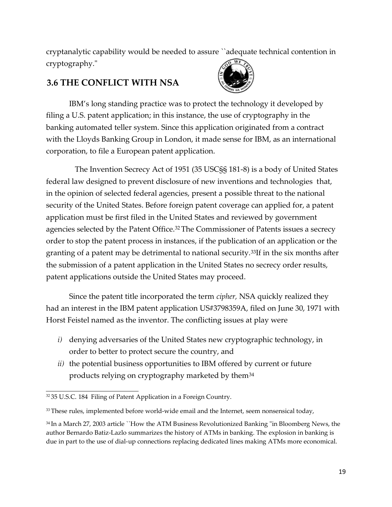cryptanalytic capability would be needed to assure ``adequate technical contention in cryptography."

# **3.6 THE CONFLICT WITH NSA**



IBM's long standing practice was to protect the technology it developed by filing a U.S. patent application; in this instance, the use of cryptography in the banking automated teller system. Since this application originated from a contract with the Lloyds Banking Group in London, it made sense for IBM, as an international corporation, to file a European patent application.

The Invention Secrecy Act of 1951 (35 USC§§ 181-8) is a body of United States federal law designed to prevent disclosure of new inventions and technologies that, in the opinion of selected federal agencies, present a possible threat to the national security of the United States. Before foreign patent coverage can applied for, a patent application must be first filed in the United States and reviewed by government agencies selected by the Patent Office.<sup>32</sup>The Commissioner of Patents issues a secrecy order to stop the patent process in instances, if the publication of an application or the granting of a patent may be detrimental to national security.<sup>33</sup>If in the six months after the submission of a patent application in the United States no secrecy order results, patent applications outside the United States may proceed.

Since the patent title incorporated the term *cipher,* NSA quickly realized they had an interest in the IBM patent application US#3798359A, filed on June 30, 1971 with Horst Feistel named as the inventor. The conflicting issues at play were

- *i)* denying adversaries of the United States new cryptographic technology, in order to better to protect secure the country, and
- products relying on cryptography marketed by them $^{34}$ *ii)* the potential business opportunities to IBM offered by current or future

<sup>32 35</sup> U.S.C. 184 Filing of Patent Application in a Foreign Country.

 $33$  These rules, implemented before world-wide email and the Internet, seem nonsensical today,

<sup>34</sup> In a March 27, 2003 article ``How the ATM Business Revolutionized Banking "in Bloomberg News, the author Bernardo Batiz-Lazlo summarizes the history of ATMs in banking. The explosion in banking is due in part to the use of dial-up connections replacing dedicated lines making ATMs more economical.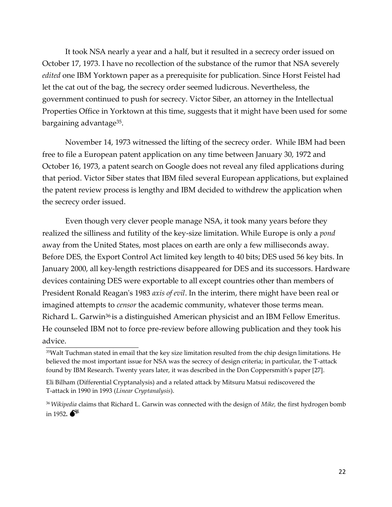It took NSA nearly a year and a half, but it resulted in a secrecy order issued on October 17, 1973. I have no recollection of the substance of the rumor that NSA severely *edited* one IBM Yorktown paper as a prerequisite for publication. Since Horst Feistel had let the cat out of the bag, the secrecy order seemed ludicrous. Nevertheless, the government continued to push for secrecy. Victor Siber, an attorney in the Intellectual Properties Office in Yorktown at this time, suggests that it might have been used for some bargaining advantage<sup>35</sup>.

November 14, 1973 witnessed the lifting of the secrecy order. While IBM had been free to file a European patent application on any time between January 30, 1972 and October 16, 1973, a patent search on Google does not reveal any filed applications during that period. Victor Siber states that IBM filed several European applications, but explained the patent review process is lengthy and IBM decided to withdrew the application when the secrecy order issued.

Even though very clever people manage NSA, it took many years before they realized the silliness and futility of the key-size limitation. While Europe is only a *pond*  away from the United States, most places on earth are only a few milliseconds away. Before DES, the Export Control Act limited key length to 40 bits; DES used 56 key bits. In January 2000, all key-length restrictions disappeared for DES and its successors. Hardware devices containing DES were exportable to all except countries other than members of President Ronald Reagan's 1983 *axis of evil*. In the interim, there might have been real or imagined attempts to *censor* the academic community, whatever those terms mean. Richard L. Garwin<sup>36</sup> is a distinguished American physicist and an IBM Fellow Emeritus. He counseled IBM not to force pre-review before allowing publication and they took his advice.

<sup>35</sup>Walt Tuchman stated in email that the key size limitation resulted from the chip design limitations. He believed the most important issue for NSA was the secrecy of design criteria; in particular, the T-attack found by IBM Research. Twenty years later, it was described in the Don Coppersmith's paper [27].

Eli Bilham (Differential Cryptanalysis) and a related attack by Mitsuru Matsui rediscovered the T-attack in 1990 in 1993 (*Linear Cryptanalysis*).

<sup>36</sup>*Wikipedia* claims that Richard L. Garwin was connected with the design of *Mike,* the first hydrogen bomb in 1952**.**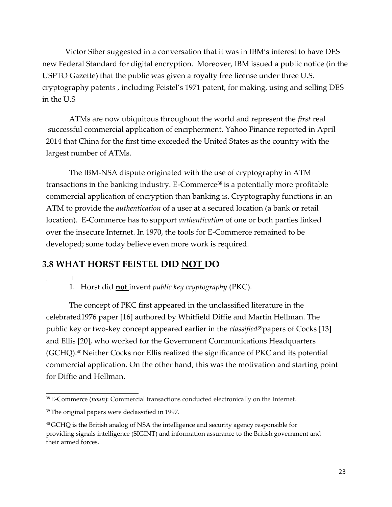Victor Siber suggested in a conversation that it was in IBM's interest to have DES new Federal Standard for digital encryption. Moreover, IBM issued a public notice (in the USPTO Gazette) that the public was given a royalty free license under three U.S. cryptography patents , including Feistel's 1971 patent, for making, using and selling DES in the U.S

ATMs are now ubiquitous throughout the world and represent the *first* real successful commercial application of encipherment. Yahoo Finance reported in April 2014 that China for the first time exceeded the United States as the country with the largest number of ATMs.

The IBM-NSA dispute originated with the use of cryptography in ATM transactions in the banking industry. E-Commerce<sup>38</sup> is a potentially more profitable commercial application of encryption than banking is. Cryptography functions in an ATM to provide the *authentication* of a user at a secured location (a bank or retail location). E-Commerce has to support *authentication* of one or both parties linked over the insecure Internet. In 1970, the tools for E-Commerce remained to be developed; some today believe even more work is required.

#### **3.8 WHAT HORST FEISTEL DID NOT DO**

#### 1. Horst did **not** invent *public key cryptography* (PKC).

The concept of PKC first appeared in the unclassified literature in the celebrated1976 paper [16] authored by Whitfield Diffie and Martin Hellman. The public key or two-key concept appeared earlier in the *classified*<sup>39</sup>papers of Cocks [13] and Ellis [20], who worked for the Government Communications Headquarters (GCHQ).<sup>40</sup> Neither Cocks nor Ellis realized the significance of PKC and its potential commercial application. On the other hand, this was the motivation and starting point for Diffie and Hellman.

<sup>38</sup>E-Commerce (*noun*): Commercial transactions conducted electronically on the Internet.

<sup>&</sup>lt;sup>39</sup> The original papers were declassified in 1997.

<sup>40</sup>GCHQ is the British analog of NSA the intelligence and security agency responsible for providing signals intelligence (SIGINT) and information assurance to the British government and their armed forces.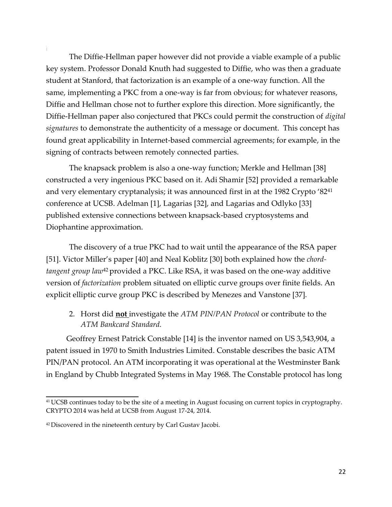The Diffie-Hellman paper however did not provide a viable example of a public key system. Professor Donald Knuth had suggested to Diffie, who was then a graduate student at Stanford, that factorization is an example of a one-way function. All the same, implementing a PKC from a one-way is far from obvious; for whatever reasons, Diffie and Hellman chose not to further explore this direction. More significantly, the Diffie-Hellman paper also conjectured that PKCs could permit the construction of *digital signatures* to demonstrate the authenticity of a message or document. This concept has found great applicability in Internet-based commercial agreements; for example, in the signing of contracts between remotely connected parties.

The knapsack problem is also a one-way function; Merkle and Hellman [38] constructed a very ingenious PKC based on it. Adi Shamir [52] provided a remarkable and very elementary cryptanalysis; it was announced first in at the 1982 Crypto '82<sup>41</sup> conference at UCSB. Adelman [1], Lagarias [32], and Lagarias and Odlyko [33] published extensive connections between knapsack-based cryptosystems and Diophantine approximation.

The discovery of a true PKC had to wait until the appearance of the RSA paper [51]. Victor Miller's paper [40] and Neal Koblitz [30] both explained how the *chordtangent group law*<sup>42</sup> provided a PKC. Like RSA, it was based on the one-way additive version of *factorization* problem situated on elliptic curve groups over finite fields. An explicit elliptic curve group PKC is described by Menezes and Vanstone [37].

2. Horst did **not** investigate the *ATM PIN/PAN Protocol* or contribute to the *ATM Bankcard Standard.*

Geoffrey Ernest Patrick Constable [14] is the inventor named on US 3,543,904, a patent issued in 1970 to Smith Industries Limited. Constable describes the basic ATM PIN/PAN protocol. An ATM incorporating it was operational at the Westminster Bank in England by Chubb Integrated Systems in May 1968. The Constable protocol has long

<sup>41</sup>UCSB continues today to be the site of a meeting in August focusing on current topics in cryptography. CRYPTO 2014 was held at UCSB from August 17-24, 2014.

<sup>&</sup>lt;sup>42</sup> Discovered in the nineteenth century by Carl Gustav Jacobi.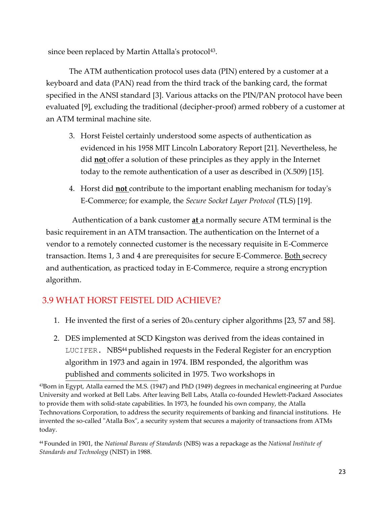since been replaced by Martin Attalla's protocol<sup>43</sup>.

The ATM authentication protocol uses data (PIN) entered by a customer at a keyboard and data (PAN) read from the third track of the banking card, the format specified in the ANSI standard [3]. Various attacks on the PIN/PAN protocol have been evaluated [9], excluding the traditional (decipher-proof) armed robbery of a customer at an ATM terminal machine site.

- 3. Horst Feistel certainly understood some aspects of authentication as evidenced in his 1958 MIT Lincoln Laboratory Report [21]. Nevertheless, he did **not** offer a solution of these principles as they apply in the Internet today to the remote authentication of a user as described in (X.509) [15].
- 4. Horst did **not** contribute to the important enabling mechanism for today's E-Commerce; for example, the *Secure Socket Layer Protocol* (TLS) [19].

Authentication of a bank customer **at** a normally secure ATM terminal is the basic requirement in an ATM transaction. The authentication on the Internet of a vendor to a remotely connected customer is the necessary requisite in E-Commerce transaction. Items 1, 3 and 4 are prerequisites for secure E-Commerce. Both secrecy and authentication, as practiced today in E-Commerce, require a strong encryption algorithm.

# 3.9 WHAT HORST FEISTEL DID ACHIEVE?

- 1. He invented the first of a series of  $20<sub>th</sub>$  century cipher algorithms [23, 57 and 58].
- 2. DES implemented at SCD Kingston was derived from the ideas contained in LUCIFER. NBS<sup>44</sup> published requests in the Federal Register for an encryption algorithm in 1973 and again in 1974. IBM responded, the algorithm was published and comments solicited in 1975. Two workshops in

<sup>43</sup>Born in Egypt, Atalla earned the M.S. (1947) and PhD (1949) degrees in mechanical engineering at Purdue University and worked at Bell Labs. After leaving Bell Labs, Atalla co-founded Hewlett-Packard Associates to provide them with solid-state capabilities. In 1973, he founded his own company, the Atalla Technovations Corporation, to address the security requirements of banking and financial institutions. He invented the so-called "Atalla Box", a security system that secures a majority of transactions from ATMs today.

<sup>44</sup>Founded in 1901, the *National Bureau of Standards* (NBS) was a repackage as the *National Institute of Standards and Technology* (NIST) in 1988.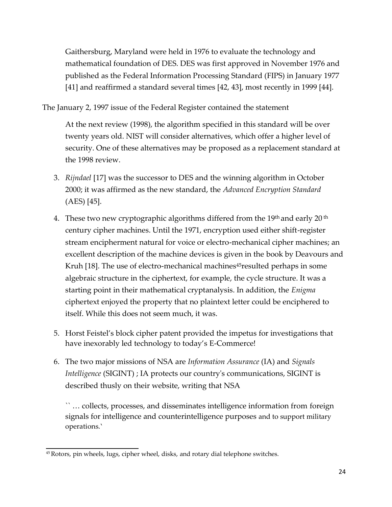Gaithersburg, Maryland were held in 1976 to evaluate the technology and mathematical foundation of DES. DES was first approved in November 1976 and published as the Federal Information Processing Standard (FIPS) in January 1977 [41] and reaffirmed a standard several times [42, 43], most recently in 1999 [44].

The January 2, 1997 issue of the Federal Register contained the statement

At the next review (1998), the algorithm specified in this standard will be over twenty years old. NIST will consider alternatives, which offer a higher level of security. One of these alternatives may be proposed as a replacement standard at the 1998 review.

- 3. *Rijndael* [17] was the successor to DES and the winning algorithm in October 2000; it was affirmed as the new standard, the *Advanced Encryption Standard*  (AES) [45].
- 4. These two new cryptographic algorithms differed from the  $19<sup>th</sup>$  and early 20<sup>th</sup> century cipher machines. Until the 1971, encryption used either shift-register stream encipherment natural for voice or electro-mechanical cipher machines; an excellent description of the machine devices is given in the book by Deavours and Kruh [18]. The use of electro-mechanical machines<sup>45</sup>resulted perhaps in some algebraic structure in the ciphertext, for example, the cycle structure. It was a starting point in their mathematical cryptanalysis. In addition, the *Enigma*  ciphertext enjoyed the property that no plaintext letter could be enciphered to itself. While this does not seem much, it was.
- 5. Horst Feistel's block cipher patent provided the impetus for investigations that have inexorably led technology to today's E-Commerce!
- 6. The two major missions of NSA are *Information Assurance* (IA) and *Signals Intelligence* (SIGINT) ; IA protects our country's communications, SIGINT is described thusly on their website, writing that NSA

`` … collects, processes, and disseminates intelligence information from foreign signals for intelligence and counterintelligence purposes and to support military operations.'

<sup>45</sup>Rotors, pin wheels, lugs, cipher wheel, disks, and rotary dial telephone switches.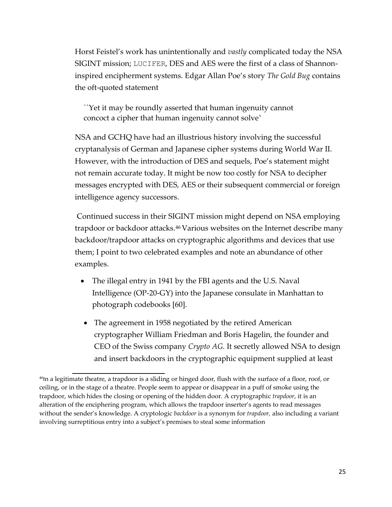Horst Feistel's work has unintentionally and *vastly* complicated today the NSA SIGINT mission; LUCIFER, DES and AES were the first of a class of Shannoninspired encipherment systems. Edgar Allan Poe's story *The Gold Bug* contains the oft-quoted statement

``Yet it may be roundly asserted that human ingenuity cannot concoct a cipher that human ingenuity cannot solve'

NSA and GCHQ have had an illustrious history involving the successful cryptanalysis of German and Japanese cipher systems during World War II. However, with the introduction of DES and sequels, Poe's statement might not remain accurate today. It might be now too costly for NSA to decipher messages encrypted with DES, AES or their subsequent commercial or foreign intelligence agency successors.

Continued success in their SIGINT mission might depend on NSA employing trapdoor or backdoor attacks.<sup>46</sup> Various websites on the Internet describe many backdoor/trapdoor attacks on cryptographic algorithms and devices that use them; I point to two celebrated examples and note an abundance of other examples.

- The illegal entry in 1941 by the FBI agents and the U.S. Naval Intelligence (OP-20-GY) into the Japanese consulate in Manhattan to photograph codebooks [60].
- The agreement in 1958 negotiated by the retired American cryptographer William Friedman and Boris Hagelin, the founder and CEO of the Swiss company *Crypto AG.* It secretly allowed NSA to design and insert backdoors in the cryptographic equipment supplied at least

<sup>&</sup>lt;sup>46</sup>In a legitimate theatre, a trapdoor is a sliding or hinged door, flush with the surface of a floor, roof, or ceiling, or in the stage of a theatre. People seem to appear or disappear in a puff of smoke using the trapdoor, which hides the closing or opening of the hidden door. A cryptographic *trapdoor*, it is an alteration of the enciphering program, which allows the trapdoor inserter's agents to read messages without the sender's knowledge. A cryptologic *backdoor* is a synonym for *trapdoor,* also including a variant involving surreptitious entry into a subject's premises to steal some information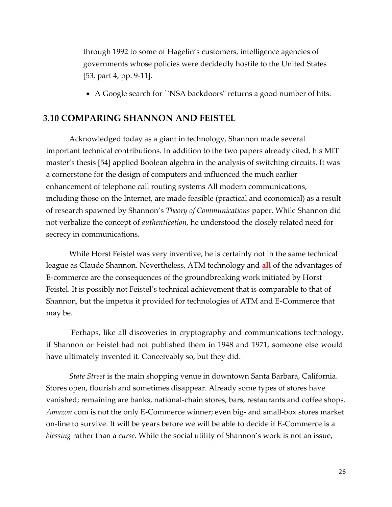through 1992 to some of Hagelin's customers, intelligence agencies of governments whose policies were decidedly hostile to the United States [53, part 4, pp. 9-11].

A Google search for ``NSA backdoors" returns a good number of hits.

#### **3.10 COMPARING SHANNON AND FEISTEL**

Acknowledged today as a giant in technology, Shannon made several important technical contributions. In addition to the two papers already cited, his MIT master's thesis [54] applied Boolean algebra in the analysis of switching circuits. It was a cornerstone for the design of computers and influenced the much earlier enhancement of telephone call routing systems All modern communications, including those on the Internet, are made feasible (practical and economical) as a result of research spawned by Shannon's *Theory of Communications* paper. While Shannon did not verbalize the concept of *authentication,* he understood the closely related need for secrecy in communications.

While Horst Feistel was very inventive, he is certainly not in the same technical league as Claude Shannon. Nevertheless, ATM technology and **all** of the advantages of E-commerce are the consequences of the groundbreaking work initiated by Horst Feistel. It is possibly not Feistel's technical achievement that is comparable to that of Shannon, but the impetus it provided for technologies of ATM and E-Commerce that may be.

Perhaps, like all discoveries in cryptography and communications technology, if Shannon or Feistel had not published them in 1948 and 1971, someone else would have ultimately invented it. Conceivably so, but they did.

*State Street* is the main shopping venue in downtown Santa Barbara, California. Stores open, flourish and sometimes disappear. Already some types of stores have vanished; remaining are banks, national-chain stores, bars, restaurants and coffee shops. *Amazon.*com is not the only E-Commerce winner; even big- and small-box stores market on-line to survive. It will be years before we will be able to decide if E-Commerce is a *blessing* rather than a *curse*. While the social utility of Shannon's work is not an issue,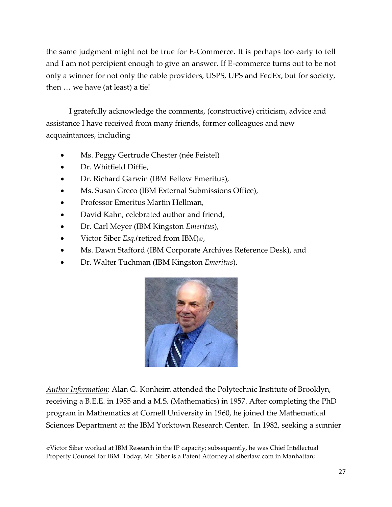the same judgment might not be true for E-Commerce. It is perhaps too early to tell and I am not percipient enough to give an answer. If E-commerce turns out to be not only a winner for not only the cable providers, USPS, UPS and FedEx, but for society, then … we have (at least) a tie!

I gratefully acknowledge the comments, (constructive) criticism, advice and assistance I have received from many friends, former colleagues and new acquaintances, including

- Ms. Peggy Gertrude Chester (née Feistel)
- Dr. Whitfield Diffie,
- Dr. Richard Garwin (IBM Fellow Emeritus),
- Ms. Susan Greco (IBM External Submissions Office),
- Professor Emeritus Martin Hellman,
- David Kahn, celebrated author and friend,
- Dr. Carl Meyer (IBM Kingston *Emeritus*),
- Victor Siber *Esq.(*retired from IBM)*47*,
- Ms. Dawn Stafford (IBM Corporate Archives Reference Desk), and
- Dr. Walter Tuchman (IBM Kingston *Emeritus*).



*Author Information*: Alan G. Konheim attended the Polytechnic Institute of Brooklyn, receiving a B.E.E. in 1955 and a M.S. (Mathematics) in 1957. After completing the PhD program in Mathematics at Cornell University in 1960, he joined the Mathematical Sciences Department at the IBM Yorktown Research Center. In 1982, seeking a sunnier

<sup>47</sup>Victor Siber worked at IBM Research in the IP capacity; subsequently, he was Chief Intellectual Property Counsel for IBM. Today, Mr. Siber is a Patent Attorney at siberlaw.com in Manhattan;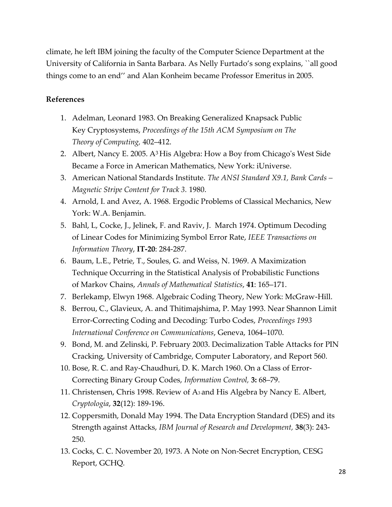climate, he left IBM joining the faculty of the Computer Science Department at the University of California in Santa Barbara. As Nelly Furtado's song explains, ``all good things come to an end'' and Alan Konheim became Professor Emeritus in 2005.

#### **References**

- 1. Adelman, Leonard 1983. On Breaking Generalized Knapsack Public Key Cryptosystems, *Proceedings of the 15th ACM Symposium on The Theory of Computing,* 402–412.
- 2. Albert, Nancy E. 2005. A<sup>3</sup> His Algebra: How a Boy from Chicago's West Side Became a Force in American Mathematics, New York: iUniverse.
- 3. American National Standards Institute. *The ANSI Standard X9.1, Bank Cards – Magnetic Stripe Content for Track 3.* 1980.
- 4. Arnold, I. and Avez, A. 1968. Ergodic Problems of Classical Mechanics, New York: W.A. Benjamin.
- 5. Bahl, L, Cocke, J., Jelinek, F. and Raviv, J. March 1974. Optimum Decoding of Linear Codes for Minimizing Symbol Error Rate, *IEEE Transactions on Information Theory*, **IT-20**: 284-287.
- 6. Baum, L.E., Petrie, T., Soules, G. and Weiss, N. 1969. A Maximization Technique Occurring in the Statistical Analysis of Probabilistic Functions of Markov Chains, *Annals of Mathematical Statistics*, **41**: 165–171.
- 7. Berlekamp, Elwyn 1968. Algebraic Coding Theory, New York: McGraw-Hill.
- 8. Berrou, C., Glavieux, A. and Thitimajshima, P. May 1993. Near Shannon Limit Error-Correcting Coding and Decoding: Turbo Codes, *Proceedings 1993 International Conference on Communications*, Geneva, 1064–1070.
- 9. Bond, M. and Zelinski, P. February 2003. Decimalization Table Attacks for PIN Cracking, University of Cambridge, Computer Laboratory, and Report 560.
- 10. Bose, R. C. and Ray-Chaudhuri, D. K. March 1960. On a Class of Error-Correcting Binary Group Codes, *Information Control,* **3:** 68–79.
- 11. Christensen, Chris 1998. Review of A3 and His Algebra by Nancy E. Albert, *Cryptologia*, **32**(12): 189-196.
- 12. Coppersmith, Donald May 1994. The Data Encryption Standard (DES) and its Strength against Attacks, *IBM Journal of Research and Development,* **38**(3): 243- 250.
- 13. Cocks, C. C. November 20, 1973. A Note on Non-Secret Encryption, CESG Report, GCHQ.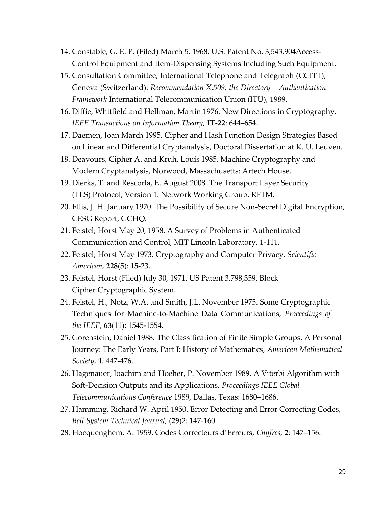- 14. Constable, G. E. P. (Filed) March 5, 1968. U.S. Patent No. 3,543,904Access-Control Equipment and Item-Dispensing Systems Including Such Equipment.
- 15. Consultation Committee, International Telephone and Telegraph (CCITT), Geneva (Switzerland): *Recommendation X.509, the Directory – Authentication Framework* International Telecommunication Union (ITU), 1989.
- 16. Diffie, Whitfield and Hellman, Martin 1976. New Directions in Cryptography, *IEEE Transactions on Information Theory,* **IT-22**: 644–654.
- 17. Daemen, Joan March 1995. Cipher and Hash Function Design Strategies Based on Linear and Differential Cryptanalysis, Doctoral Dissertation at K. U. Leuven.
- 18. Deavours, Cipher A. and Kruh, Louis 1985. Machine Cryptography and Modern Cryptanalysis, Norwood, Massachusetts: Artech House.
- 19. Dierks, T. and Rescorla, E. August 2008. The Transport Layer Security (TLS) Protocol, Version 1. Network Working Group, RFTM.
- 20. Ellis, J. H. January 1970. The Possibility of Secure Non-Secret Digital Encryption, CESG Report, GCHQ.
- 21. Feistel, Horst May 20, 1958. A Survey of Problems in Authenticated Communication and Control, MIT Lincoln Laboratory, 1-111,
- 22. Feistel, Horst May 1973. Cryptography and Computer Privacy, *Scientific American,* **228**(5): 15-23.
- 23. Feistel, Horst (Filed) July 30, 1971. US Patent 3,798,359, Block Cipher Cryptographic System.
- 24. Feistel, H., Notz, W.A. and Smith, J.L. November 1975. Some Cryptographic Techniques for Machine-to-Machine Data Communications, *Proceedings of the IEEE,* **63**(11): 1545-1554.
- 25. Gorenstein, Daniel 1988. The Classification of Finite Simple Groups, A Personal Journey: The Early Years, Part I: History of Mathematics, *American Mathematical Society,* **1***:* 447-476.
- 26. Hagenauer, Joachim and Hoeher, P. November 1989. A Viterbi Algorithm with Soft-Decision Outputs and its Applications, *Proceedings IEEE Global Telecommunications Conference* 1989, Dallas, Texas: 1680–1686.
- 27. Hamming, Richard W. April 1950. Error Detecting and Error Correcting Codes, *Bell System Technical Journal,* (**29**)2: 147-160.
- 28. Hocquenghem, A. 1959. Codes Correcteurs d'Erreurs, *Chiffres,* **2**: 147–156.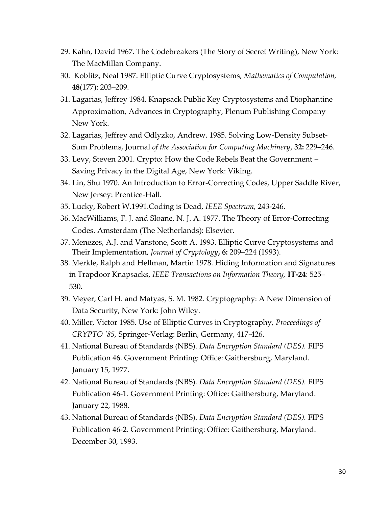- 29. Kahn, David 1967. The Codebreakers (The Story of Secret Writing), New York: The MacMillan Company.
- 30. Koblitz, Neal 1987. Elliptic Curve Cryptosystems, *Mathematics of Computation,* **48**(177): 203–209.
- 31. Lagarias, Jeffrey 1984. Knapsack Public Key Cryptosystems and Diophantine Approximation, Advances in Cryptography, Plenum Publishing Company New York.
- 32. Lagarias, Jeffrey and Odlyzko, Andrew. 1985. Solving Low-Density Subset-Sum Problems, Journal *of the Association for Computing Machinery*, **32:** 229–246.
- 33. Levy, Steven 2001. Crypto: How the Code Rebels Beat the Government Saving Privacy in the Digital Age, New York: Viking.
- 34. Lin, Shu 1970. An Introduction to Error-Correcting Codes, Upper Saddle River, New Jersey: Prentice-Hall.
- 35. Lucky, Robert W.1991.Coding is Dead, *IEEE Spectrum,* 243-246.
- 36. MacWilliams, F. J. and Sloane, N. J. A. 1977. The Theory of Error-Correcting Codes. Amsterdam (The Netherlands): Elsevier.
- 37. Menezes, A.J. and Vanstone, Scott A. 1993. Elliptic Curve Cryptosystems and Their Implementation, *Journal of Cryptology***, 6:** 209–224 (1993).
- 38. Merkle, Ralph and Hellman, Martin 1978. Hiding Information and Signatures in Trapdoor Knapsacks, *IEEE Transactions on Information Theory,* **IT-24**: 525– 530.
- 39. Meyer, Carl H. and Matyas, S. M. 1982. Cryptography: A New Dimension of Data Security, New York: John Wiley.
- 40. Miller, Victor 1985. Use of Elliptic Curves in Cryptography, *Proceedings of CRYPTO '85,* Springer-Verlag: Berlin, Germany, 417-426.
- 41. National Bureau of Standards (NBS). *Data Encryption Standard (DES).* FIPS Publication 46. Government Printing: Office: Gaithersburg, Maryland. January 15, 1977.
- 42. National Bureau of Standards (NBS). *Data Encryption Standard (DES).* FIPS Publication 46-1. Government Printing: Office: Gaithersburg, Maryland. January 22, 1988.
- 43. National Bureau of Standards (NBS). *Data Encryption Standard (DES).* FIPS Publication 46-2. Government Printing: Office: Gaithersburg, Maryland. December 30, 1993.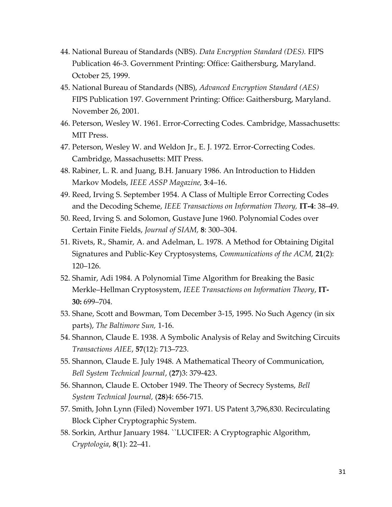- 44. National Bureau of Standards (NBS). *Data Encryption Standard (DES).* FIPS Publication 46-3. Government Printing: Office: Gaithersburg, Maryland. October 25, 1999.
- 45. National Bureau of Standards (NBS), *Advanced Encryption Standard (AES)*  FIPS Publication 197. Government Printing: Office: Gaithersburg, Maryland. November 26, 2001.
- 46. Peterson, Wesley W. 1961. Error-Correcting Codes. Cambridge, Massachusetts: MIT Press.
- 47. Peterson, Wesley W. and Weldon Jr., E. J. 1972. Error-Correcting Codes. Cambridge, Massachusetts: MIT Press.
- 48. Rabiner, L. R. and Juang, B.H. January 1986. An Introduction to Hidden Markov Models, *IEEE ASSP Magazine,* **3**:4–16.
- 49. Reed, Irving S. September 1954. A Class of Multiple Error Correcting Codes and the Decoding Scheme, *IEEE Transactions on Information Theory,* **IT-4**: 38–49.
- 50. Reed, Irving S. and Solomon, Gustave June 1960. Polynomial Codes over Certain Finite Fields, *Journal of SIAM,* **8**: 300–304.
- 51. Rivets, R., Shamir, A. and Adelman, L. 1978. A Method for Obtaining Digital Signatures and Public-Key Cryptosystems, *Communications of the ACM,* **21**(2): 120–126.
- 52. Shamir, Adi 1984. A Polynomial Time Algorithm for Breaking the Basic Merkle–Hellman Cryptosystem, *IEEE Transactions on Information Theory*, **IT-30:** 699–704.
- 53. Shane, Scott and Bowman, Tom December 3-15, 1995. No Such Agency (in six parts), *The Baltimore Sun,* 1-16.
- 54. Shannon, Claude E. 1938. A Symbolic Analysis of Relay and Switching Circuits *Transactions AIEE*, **57**(12): 713–723.
- 55. Shannon, Claude E. July 1948. A Mathematical Theory of Communication, *Bell System Technical Journal*, (**27**)3: 379-423.
- 56. Shannon, Claude E. October 1949. The Theory of Secrecy Systems, *Bell System Technical Journal,* (**28**)4: 656-715.
- 57. Smith, John Lynn (Filed) November 1971. US Patent 3,796,830. Recirculating Block Cipher Cryptographic System.
- 58. Sorkin, Arthur January 1984. ``LUCIFER: A Cryptographic Algorithm, *Cryptologia*, **8**(1): 22–41.